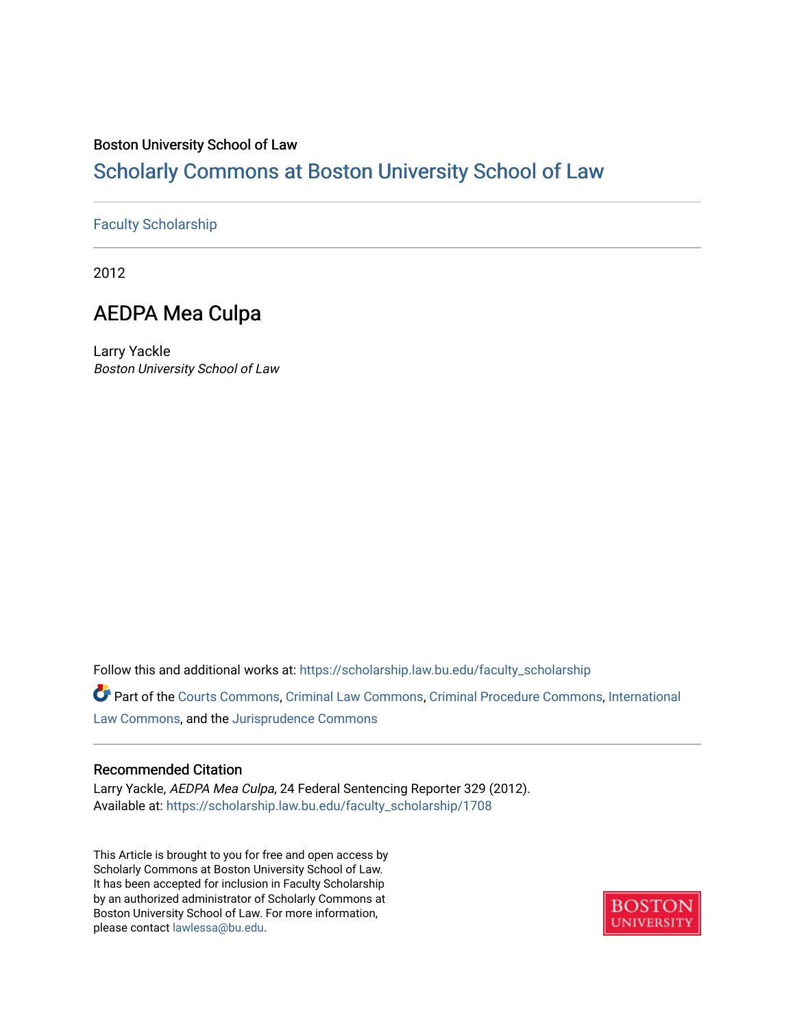## Boston University School of Law

## [Scholarly Commons at Boston University School of Law](https://scholarship.law.bu.edu/)

## [Faculty Scholarship](https://scholarship.law.bu.edu/faculty_scholarship)

2012

# AEDPA Mea Culpa

Larry Yackle Boston University School of Law

Follow this and additional works at: [https://scholarship.law.bu.edu/faculty\\_scholarship](https://scholarship.law.bu.edu/faculty_scholarship?utm_source=scholarship.law.bu.edu%2Ffaculty_scholarship%2F1708&utm_medium=PDF&utm_campaign=PDFCoverPages)

Part of the [Courts Commons,](http://network.bepress.com/hgg/discipline/839?utm_source=scholarship.law.bu.edu%2Ffaculty_scholarship%2F1708&utm_medium=PDF&utm_campaign=PDFCoverPages) [Criminal Law Commons](http://network.bepress.com/hgg/discipline/912?utm_source=scholarship.law.bu.edu%2Ffaculty_scholarship%2F1708&utm_medium=PDF&utm_campaign=PDFCoverPages), [Criminal Procedure Commons](http://network.bepress.com/hgg/discipline/1073?utm_source=scholarship.law.bu.edu%2Ffaculty_scholarship%2F1708&utm_medium=PDF&utm_campaign=PDFCoverPages), [International](http://network.bepress.com/hgg/discipline/609?utm_source=scholarship.law.bu.edu%2Ffaculty_scholarship%2F1708&utm_medium=PDF&utm_campaign=PDFCoverPages)  [Law Commons,](http://network.bepress.com/hgg/discipline/609?utm_source=scholarship.law.bu.edu%2Ffaculty_scholarship%2F1708&utm_medium=PDF&utm_campaign=PDFCoverPages) and the [Jurisprudence Commons](http://network.bepress.com/hgg/discipline/610?utm_source=scholarship.law.bu.edu%2Ffaculty_scholarship%2F1708&utm_medium=PDF&utm_campaign=PDFCoverPages) 

### Recommended Citation

Larry Yackle, AEDPA Mea Culpa, 24 Federal Sentencing Reporter 329 (2012). Available at: [https://scholarship.law.bu.edu/faculty\\_scholarship/1708](https://scholarship.law.bu.edu/faculty_scholarship/1708?utm_source=scholarship.law.bu.edu%2Ffaculty_scholarship%2F1708&utm_medium=PDF&utm_campaign=PDFCoverPages)

This Article is brought to you for free and open access by Scholarly Commons at Boston University School of Law. It has been accepted for inclusion in Faculty Scholarship by an authorized administrator of Scholarly Commons at Boston University School of Law. For more information, please contact [lawlessa@bu.edu](mailto:lawlessa@bu.edu).

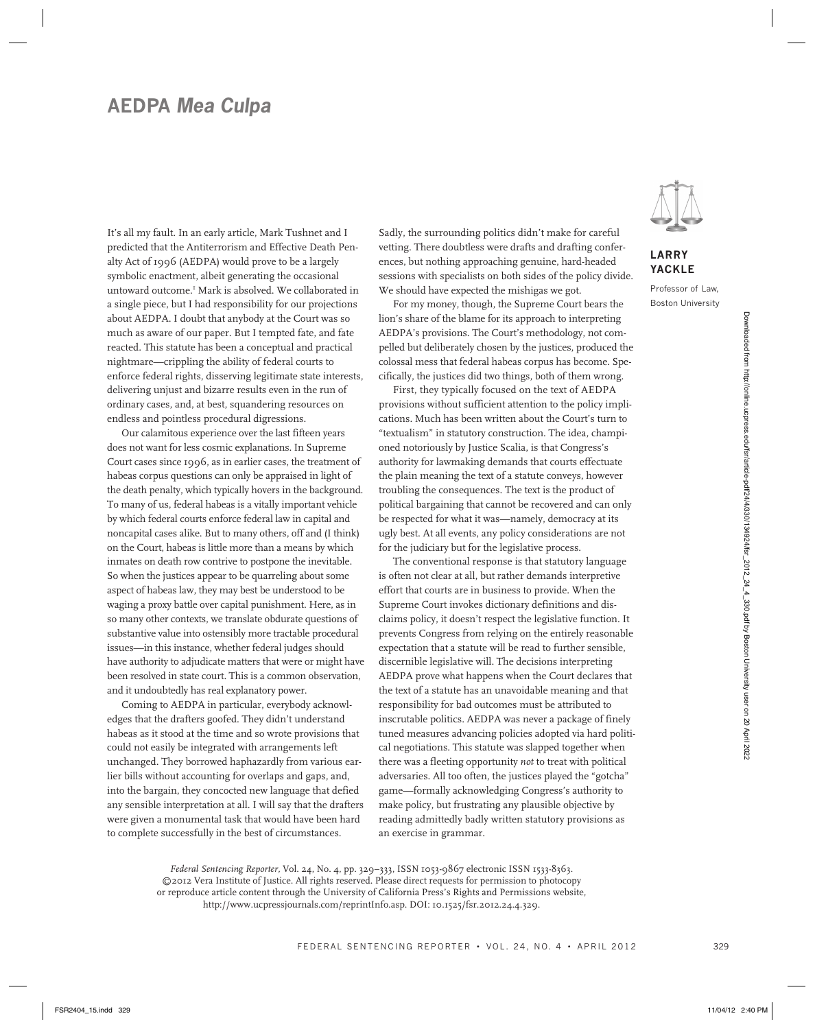# **AEDPA** *Mea Culpa*

It's all my fault. In an early article, Mark Tushnet and I predicted that the Antiterrorism and Effective Death Penalty Act of 1996 (AEDPA) would prove to be a largely symbolic enactment, albeit generating the occasional untoward outcome.1 Mark is absolved. We collaborated in a single piece, but I had responsibility for our projections about AEDPA. I doubt that anybody at the Court was so much as aware of our paper. But I tempted fate, and fate reacted. This statute has been a conceptual and practical nightmare—crippling the ability of federal courts to enforce federal rights, disserving legitimate state interests, delivering unjust and bizarre results even in the run of ordinary cases, and, at best, squandering resources on endless and pointless procedural digressions.

Our calamitous experience over the last fifteen years does not want for less cosmic explanations. In Supreme Court cases since 1996, as in earlier cases, the treatment of habeas corpus questions can only be appraised in light of the death penalty, which typically hovers in the background. To many of us, federal habeas is a vitally important vehicle by which federal courts enforce federal law in capital and noncapital cases alike. But to many others, off and (I think) on the Court, habeas is little more than a means by which inmates on death row contrive to postpone the inevitable. So when the justices appear to be quarreling about some aspect of habeas law, they may best be understood to be waging a proxy battle over capital punishment. Here, as in so many other contexts, we translate obdurate questions of substantive value into ostensibly more tractable procedural issues—in this instance, whether federal judges should have authority to adjudicate matters that were or might have been resolved in state court. This is a common observation, and it undoubtedly has real explanatory power.

Coming to AEDPA in particular, everybody acknowledges that the drafters goofed. They didn't understand habeas as it stood at the time and so wrote provisions that could not easily be integrated with arrangements left unchanged. They borrowed haphazardly from various earlier bills without accounting for overlaps and gaps, and, into the bargain, they concocted new language that defied any sensible interpretation at all. I will say that the drafters were given a monumental task that would have been hard to complete successfully in the best of circumstances.

Sadly, the surrounding politics didn't make for careful vetting. There doubtless were drafts and drafting conferences, but nothing approaching genuine, hard-headed sessions with specialists on both sides of the policy divide. We should have expected the mishigas we got.

For my money, though, the Supreme Court bears the lion's share of the blame for its approach to interpreting AEDPA's provisions. The Court's methodology, not compelled but deliberately chosen by the justices, produced the colossal mess that federal habeas corpus has become. Specifically, the justices did two things, both of them wrong.

First, they typically focused on the text of AEDPA provisions without sufficient attention to the policy implications. Much has been written about the Court's turn to "textualism" in statutory construction. The idea, championed notoriously by Justice Scalia, is that Congress's authority for lawmaking demands that courts effectuate the plain meaning the text of a statute conveys, however troubling the consequences. The text is the product of political bargaining that cannot be recovered and can only be respected for what it was—namely, democracy at its ugly best. At all events, any policy considerations are not for the judiciary but for the legislative process.

The conventional response is that statutory language is often not clear at all, but rather demands interpretive effort that courts are in business to provide. When the Supreme Court invokes dictionary definitions and disclaims policy, it doesn't respect the legislative function. It prevents Congress from relying on the entirely reasonable expectation that a statute will be read to further sensible, discernible legislative will. The decisions interpreting AEDPA prove what happens when the Court declares that the text of a statute has an unavoidable meaning and that responsibility for bad outcomes must be attributed to inscrutable politics. AEDPA was never a package of finely tuned measures advancing policies adopted via hard political negotiations. This statute was slapped together when there was a fleeting opportunity *not* to treat with political adversaries. All too often, the justices played the "gotcha" game—formally acknowledging Congress's authority to make policy, but frustrating any plausible objective by reading admittedly badly written statutory provisions as an exercise in grammar. For ADEO I according to the state of the state of the state of the state of the state of the state of the state of the state of the state of the state of the state of the state of the state of the state of the state of th

*Federal Sentencing Reporter,* Vol. 24, No. 4, pp. 329–333, ISSN 1053-9867 electronic ISSN 1533-8363. ©2012 Vera Institute of Justice. All rights reserved. Please direct requests for permission to photocopy or reproduce article content through the University of California Press's Rights and Permissions website, http://www.ucpressjournals.com/reprintInfo.asp. DOI: 10.1525/fsr.2012.24.4.329.



**Larry Yackle**

Professor of Law, Boston University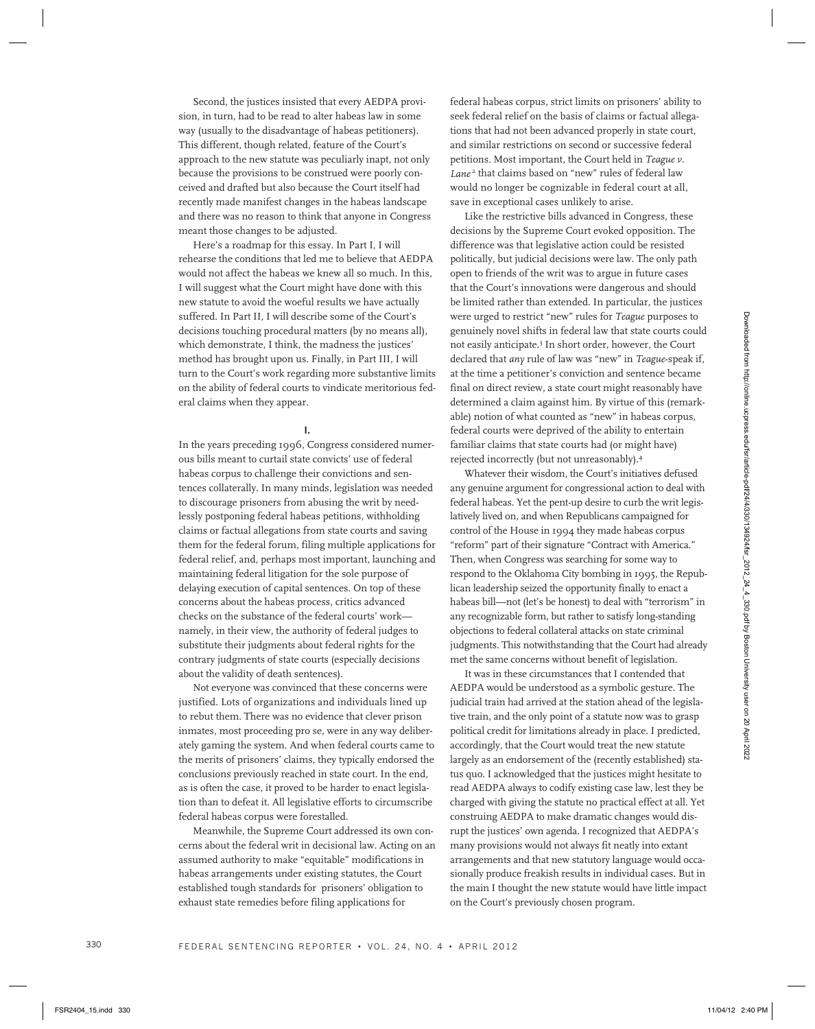Second, the justices insisted that every AEDPA provision, in turn, had to be read to alter habeas law in some way (usually to the disadvantage of habeas petitioners). This different, though related, feature of the Court's approach to the new statute was peculiarly inapt, not only because the provisions to be construed were poorly conceived and drafted but also because the Court itself had recently made manifest changes in the habeas landscape and there was no reason to think that anyone in Congress meant those changes to be adjusted.

Here's a roadmap for this essay. In Part I, I will rehearse the conditions that led me to believe that AEDPA would not affect the habeas we knew all so much. In this, I will suggest what the Court might have done with this new statute to avoid the woeful results we have actually suffered. In Part II, I will describe some of the Court's decisions touching procedural matters (by no means all), which demonstrate, I think, the madness the justices' method has brought upon us. Finally, in Part III, I will turn to the Court's work regarding more substantive limits on the ability of federal courts to vindicate meritorious federal claims when they appear.

**I.**

In the years preceding 1996, Congress considered numerous bills meant to curtail state convicts' use of federal habeas corpus to challenge their convictions and sentences collaterally. In many minds, legislation was needed to discourage prisoners from abusing the writ by needlessly postponing federal habeas petitions, withholding claims or factual allegations from state courts and saving them for the federal forum, filing multiple applications for federal relief, and, perhaps most important, launching and maintaining federal litigation for the sole purpose of delaying execution of capital sentences. On top of these concerns about the habeas process, critics advanced checks on the substance of the federal courts' work namely, in their view, the authority of federal judges to substitute their judgments about federal rights for the contrary judgments of state courts (especially decisions about the validity of death sentences). FSR240.11 and the state of the state of the state of the state of the state of the state of the state of the state of the state of the state of the state of the state of the state of the state of the state of the state of

Not everyone was convinced that these concerns were justified. Lots of organizations and individuals lined up to rebut them. There was no evidence that clever prison inmates, most proceeding pro se, were in any way deliberately gaming the system. And when federal courts came to the merits of prisoners' claims, they typically endorsed the conclusions previously reached in state court. In the end, as is often the case, it proved to be harder to enact legislation than to defeat it. All legislative efforts to circumscribe federal habeas corpus were forestalled.

Meanwhile, the Supreme Court addressed its own concerns about the federal writ in decisional law. Acting on an assumed authority to make "equitable" modifications in habeas arrangements under existing statutes, the Court established tough standards for prisoners' obligation to exhaust state remedies before filing applications for

federal habeas corpus, strict limits on prisoners' ability to seek federal relief on the basis of claims or factual allegations that had not been advanced properly in state court, and similar restrictions on second or successive federal petitions. Most important, the Court held in *Teague v.*  Lane<sup>2</sup> that claims based on "new" rules of federal law would no longer be cognizable in federal court at all, save in exceptional cases unlikely to arise.

Like the restrictive bills advanced in Congress, these decisions by the Supreme Court evoked opposition. The difference was that legislative action could be resisted politically, but judicial decisions were law. The only path open to friends of the writ was to argue in future cases that the Court's innovations were dangerous and should be limited rather than extended. In particular, the justices were urged to restrict "new" rules for *Teague* purposes to genuinely novel shifts in federal law that state courts could not easily anticipate.3 In short order, however, the Court declared that *any* rule of law was "new" in *Teague*-speak if, at the time a petitioner's conviction and sentence became final on direct review, a state court might reasonably have determined a claim against him. By virtue of this (remarkable) notion of what counted as "new" in habeas corpus, federal courts were deprived of the ability to entertain familiar claims that state courts had (or might have) rejected incorrectly (but not unreasonably).4

Whatever their wisdom, the Court's initiatives defused any genuine argument for congressional action to deal with federal habeas. Yet the pent-up desire to curb the writ legislatively lived on, and when Republicans campaigned for control of the House in 1994 they made habeas corpus "reform" part of their signature "Contract with America." Then, when Congress was searching for some way to respond to the Oklahoma City bombing in 1995, the Republican leadership seized the opportunity finally to enact a habeas bill—not (let's be honest) to deal with "terrorism" in any recognizable form, but rather to satisfy long-standing objections to federal collateral attacks on state criminal judgments. This notwithstanding that the Court had already met the same concerns without benefit of legislation.

It was in these circumstances that I contended that AEDPA would be understood as a symbolic gesture. The judicial train had arrived at the station ahead of the legislative train, and the only point of a statute now was to grasp political credit for limitations already in place. I predicted, accordingly, that the Court would treat the new statute largely as an endorsement of the (recently established) status quo. I acknowledged that the justices might hesitate to read AEDPA always to codify existing case law, lest they be charged with giving the statute no practical effect at all. Yet construing AEDPA to make dramatic changes would disrupt the justices' own agenda. I recognized that AEDPA's many provisions would not always fit neatly into extant arrangements and that new statutory language would occasionally produce freakish results in individual cases. But in the main I thought the new statute would have little impact on the Court's previously chosen program.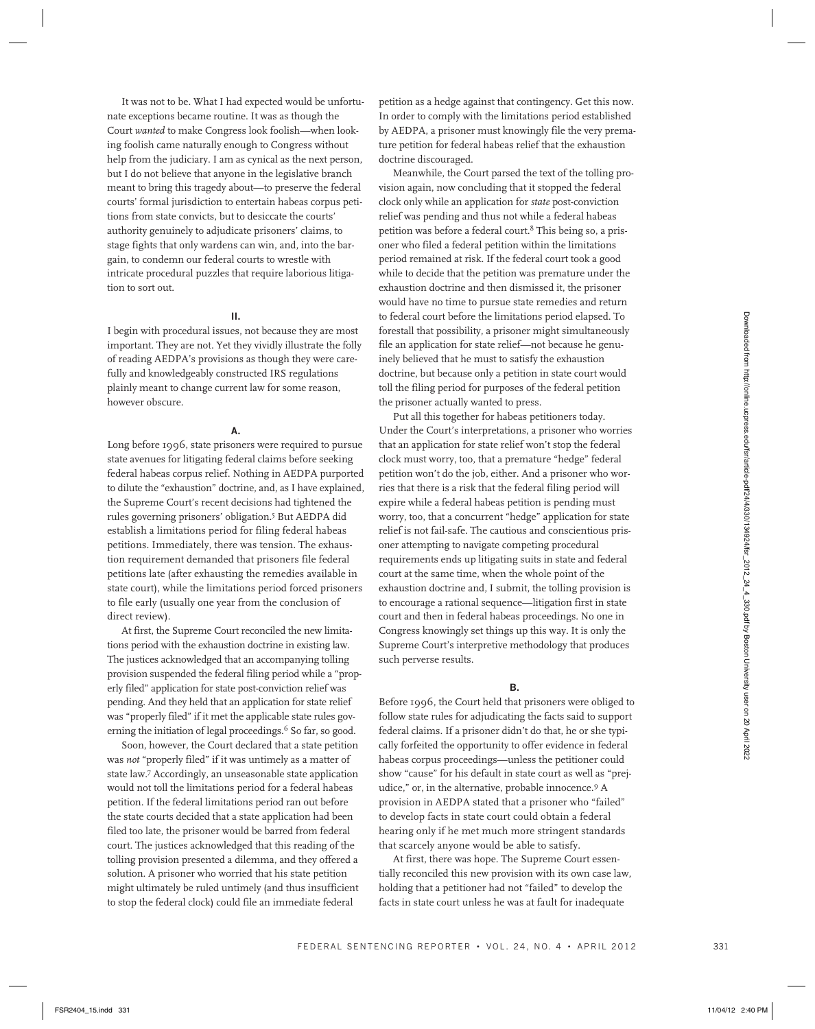It was not to be. What I had expected would be unfortunate exceptions became routine. It was as though the Court *wanted* to make Congress look foolish—when looking foolish came naturally enough to Congress without help from the judiciary. I am as cynical as the next person, but I do not believe that anyone in the legislative branch meant to bring this tragedy about—to preserve the federal courts' formal jurisdiction to entertain habeas corpus petitions from state convicts, but to desiccate the courts' authority genuinely to adjudicate prisoners' claims, to stage fights that only wardens can win, and, into the bargain, to condemn our federal courts to wrestle with intricate procedural puzzles that require laborious litigation to sort out.

### **II.**

I begin with procedural issues, not because they are most important. They are not. Yet they vividly illustrate the folly of reading AEDPA's provisions as though they were carefully and knowledgeably constructed IRS regulations plainly meant to change current law for some reason, however obscure.

### **A.**

Long before 1996, state prisoners were required to pursue state avenues for litigating federal claims before seeking federal habeas corpus relief. Nothing in AEDPA purported to dilute the "exhaustion" doctrine, and, as I have explained, the Supreme Court's recent decisions had tightened the rules governing prisoners' obligation.5 But AEDPA did establish a limitations period for filing federal habeas petitions. Immediately, there was tension. The exhaustion requirement demanded that prisoners file federal petitions late (after exhausting the remedies available in state court), while the limitations period forced prisoners to file early (usually one year from the conclusion of direct review).

At first, the Supreme Court reconciled the new limitations period with the exhaustion doctrine in existing law. The justices acknowledged that an accompanying tolling provision suspended the federal filing period while a "properly filed" application for state post-conviction relief was pending. And they held that an application for state relief was "properly filed" if it met the applicable state rules governing the initiation of legal proceedings.<sup>6</sup> So far, so good.

Soon, however, the Court declared that a state petition was *not* "properly filed" if it was untimely as a matter of state law.7 Accordingly, an unseasonable state application would not toll the limitations period for a federal habeas petition. If the federal limitations period ran out before the state courts decided that a state application had been filed too late, the prisoner would be barred from federal court. The justices acknowledged that this reading of the tolling provision presented a dilemma, and they offered a solution. A prisoner who worried that his state petition might ultimately be ruled untimely (and thus insufficient to stop the federal clock) could file an immediate federal

petition as a hedge against that contingency. Get this now. In order to comply with the limitations period established by AEDPA, a prisoner must knowingly file the very premature petition for federal habeas relief that the exhaustion doctrine discouraged.

Meanwhile, the Court parsed the text of the tolling provision again, now concluding that it stopped the federal clock only while an application for *state* post-conviction relief was pending and thus not while a federal habeas petition was before a federal court.8 This being so, a prisoner who filed a federal petition within the limitations period remained at risk. If the federal court took a good while to decide that the petition was premature under the exhaustion doctrine and then dismissed it, the prisoner would have no time to pursue state remedies and return to federal court before the limitations period elapsed. To forestall that possibility, a prisoner might simultaneously file an application for state relief—not because he genuinely believed that he must to satisfy the exhaustion doctrine, but because only a petition in state court would toll the filing period for purposes of the federal petition the prisoner actually wanted to press.

Put all this together for habeas petitioners today. Under the Court's interpretations, a prisoner who worries that an application for state relief won't stop the federal clock must worry, too, that a premature "hedge" federal petition won't do the job, either. And a prisoner who worries that there is a risk that the federal filing period will expire while a federal habeas petition is pending must worry, too, that a concurrent "hedge" application for state relief is not fail-safe. The cautious and conscientious prisoner attempting to navigate competing procedural requirements ends up litigating suits in state and federal court at the same time, when the whole point of the exhaustion doctrine and, I submit, the tolling provision is to encourage a rational sequence—litigation first in state court and then in federal habeas proceedings. No one in Congress knowingly set things up this way. It is only the Supreme Court's interpretive methodology that produces such perverse results. Function the control of the spin of the spin distance and the spin distance product the spin of the spin of the spin of the spin of the spin of the spin of the spin of the spin of the spin of the spin of the spin of the s

#### **B.**

Before 1996, the Court held that prisoners were obliged to follow state rules for adjudicating the facts said to support federal claims. If a prisoner didn't do that, he or she typically forfeited the opportunity to offer evidence in federal habeas corpus proceedings—unless the petitioner could show "cause" for his default in state court as well as "prejudice," or, in the alternative, probable innocence.9 A provision in AEDPA stated that a prisoner who "failed" to develop facts in state court could obtain a federal hearing only if he met much more stringent standards that scarcely anyone would be able to satisfy.

At first, there was hope. The Supreme Court essentially reconciled this new provision with its own case law, holding that a petitioner had not "failed" to develop the facts in state court unless he was at fault for inadequate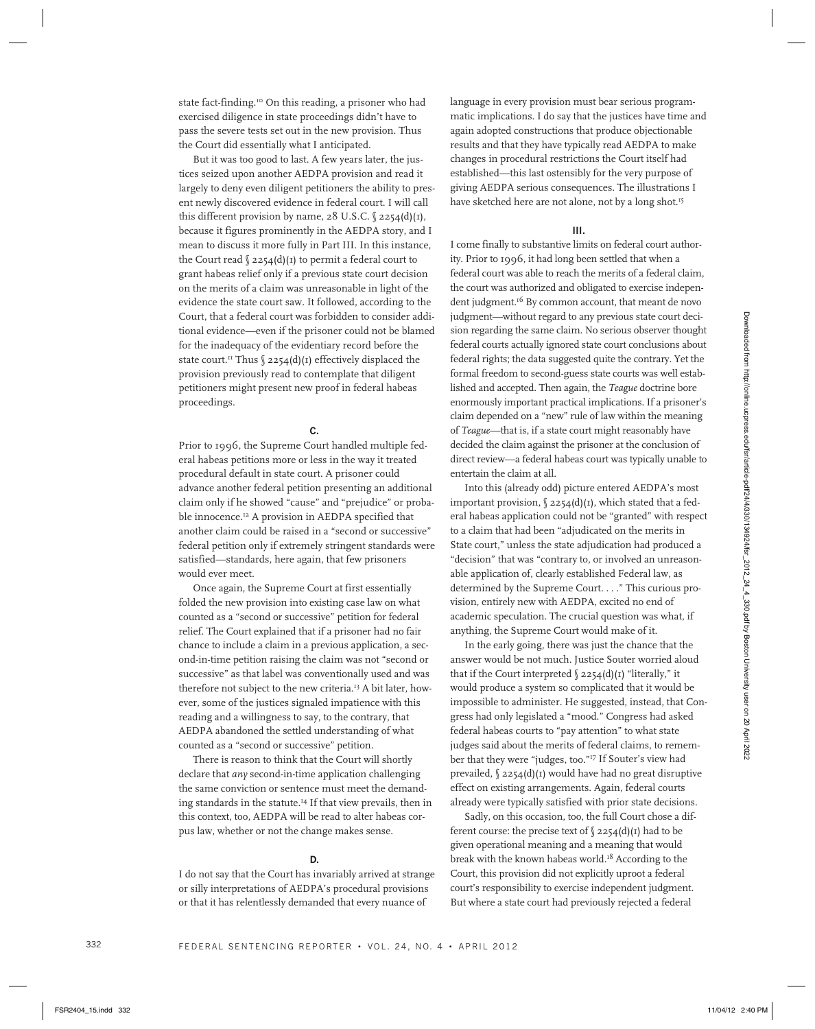state fact-finding.10 On this reading, a prisoner who had exercised diligence in state proceedings didn't have to pass the severe tests set out in the new provision. Thus the Court did essentially what I anticipated.

But it was too good to last. A few years later, the justices seized upon another AEDPA provision and read it largely to deny even diligent petitioners the ability to present newly discovered evidence in federal court. I will call this different provision by name,  $28 \text{ U.S.C. }$  \$ $2254(d)(1)$ , because it figures prominently in the AEDPA story, and I mean to discuss it more fully in Part III. In this instance, the Court read  $\int 2254(d)(1)$  to permit a federal court to grant habeas relief only if a previous state court decision on the merits of a claim was unreasonable in light of the evidence the state court saw. It followed, according to the Court, that a federal court was forbidden to consider additional evidence—even if the prisoner could not be blamed for the inadequacy of the evidentiary record before the state court.<sup>11</sup> Thus  $\int 2254(d)(1)$  effectively displaced the provision previously read to contemplate that diligent petitioners might present new proof in federal habeas proceedings.

### **C.**

Prior to 1996, the Supreme Court handled multiple federal habeas petitions more or less in the way it treated procedural default in state court. A prisoner could advance another federal petition presenting an additional claim only if he showed "cause" and "prejudice" or probable innocence.<sup>12</sup> A provision in AEDPA specified that another claim could be raised in a "second or successive" federal petition only if extremely stringent standards were satisfied—standards, here again, that few prisoners would ever meet.

Once again, the Supreme Court at first essentially folded the new provision into existing case law on what counted as a "second or successive" petition for federal relief. The Court explained that if a prisoner had no fair chance to include a claim in a previous application, a second-in-time petition raising the claim was not "second or successive" as that label was conventionally used and was therefore not subject to the new criteria.<sup>13</sup> A bit later, however, some of the justices signaled impatience with this reading and a willingness to say, to the contrary, that AEDPA abandoned the settled understanding of what counted as a "second or successive" petition.

There is reason to think that the Court will shortly declare that *any* second-in-time application challenging the same conviction or sentence must meet the demanding standards in the statute.14 If that view prevails, then in this context, too, AEDPA will be read to alter habeas corpus law, whether or not the change makes sense.

### **D.**

I do not say that the Court has invariably arrived at strange or silly interpretations of AEDPA's procedural provisions or that it has relentlessly demanded that every nuance of

language in every provision must bear serious programmatic implications. I do say that the justices have time and again adopted constructions that produce objectionable results and that they have typically read AEDPA to make changes in procedural restrictions the Court itself had established—this last ostensibly for the very purpose of giving AEDPA serious consequences. The illustrations I have sketched here are not alone, not by a long shot.<sup>15</sup>

### **III.**

I come finally to substantive limits on federal court authority. Prior to 1996, it had long been settled that when a federal court was able to reach the merits of a federal claim, the court was authorized and obligated to exercise independent judgment.<sup>16</sup> By common account, that meant de novo judgment—without regard to any previous state court decision regarding the same claim. No serious observer thought federal courts actually ignored state court conclusions about federal rights; the data suggested quite the contrary. Yet the formal freedom to second-guess state courts was well established and accepted. Then again, the *Teague* doctrine bore enormously important practical implications. If a prisoner's claim depended on a "new" rule of law within the meaning of *Teague*—that is, if a state court might reasonably have decided the claim against the prisoner at the conclusion of direct review—a federal habeas court was typically unable to entertain the claim at all. For  $\alpha$  that the state of the distance of the state of the state of the state of the state of the state of the state of the state of the state of the state of the state of the state of the state of the state of the state

Into this (already odd) picture entered AEDPA's most important provision,  $\int 2254(d)(1)$ , which stated that a federal habeas application could not be "granted" with respect to a claim that had been "adjudicated on the merits in State court," unless the state adjudication had produced a "decision" that was "contrary to, or involved an unreasonable application of, clearly established Federal law, as determined by the Supreme Court. . . ." This curious provision, entirely new with AEDPA, excited no end of academic speculation. The crucial question was what, if anything, the Supreme Court would make of it.

In the early going, there was just the chance that the answer would be not much. Justice Souter worried aloud that if the Court interpreted  $\S$  2254(d)(1) "literally," it would produce a system so complicated that it would be impossible to administer. He suggested, instead, that Congress had only legislated a "mood." Congress had asked federal habeas courts to "pay attention" to what state judges said about the merits of federal claims, to remember that they were "judges, too."<sup>17</sup> If Souter's view had prevailed, § 2254(d)(1) would have had no great disruptive effect on existing arrangements. Again, federal courts already were typically satisfied with prior state decisions.

Sadly, on this occasion, too, the full Court chose a different course: the precise text of  $\int 2254(d)(1)$  had to be given operational meaning and a meaning that would break with the known habeas world.18 According to the Court, this provision did not explicitly uproot a federal court's responsibility to exercise independent judgment. But where a state court had previously rejected a federal